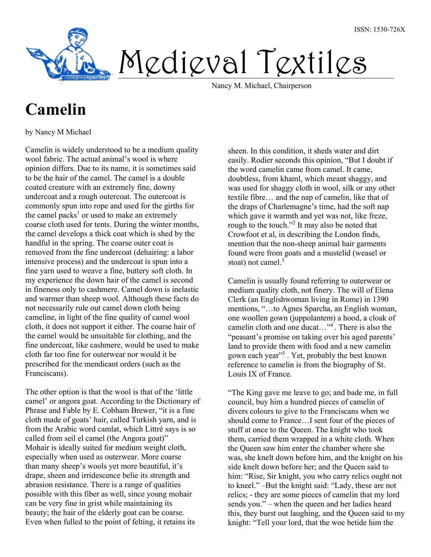

Medieval Textiles

Nancy M. Michael, Chairperson

## Camelin

by Nancy M Michael

Camelin is widely understood to be a medium quality wool fabric. The actual animal's wool is where opinion differs. Due to its name, it is sometimes said to be the hair of the camel. The camel is a double coated creature with an extremely fine, downy undercoat and a rough outercoat. The outercoat is commonly spun into rope and used for the girths for the camel packs<sup>1</sup> or used to make an extremely coarse cloth used for tents. During the winter months, the camel develops a thick coat which is shed by the handful in the spring. The coarse outer coat is removed from the fine undercoat (dehairing: a labor intensive process) and the undercoat is spun into a fine yarn used to weave a fine, buttery soft cloth. In my experience the down hair of the camel is second in fineness only to cashmere. Camel down is inelastic and warmer than sheep wool. Although these facts do not necessarily rule out camel down cloth being cameline, in light of the fine quality of camel wool cloth, it does not support it either. The coarse hair of the camel would be unsuitable for clothing, and the fine undercoat, like cashmere, would be used to make cloth far too fine for outerwear nor would it be prescribed for the mendicant orders (such as the Franciscans).

The other option is that the wool is that of the 'little camel' or angora goat. According to the Dictionary of Phrase and Fable by E. Cobham Brewer, "it is a fine cloth made of goats' hair, called Turkish yarn, and is from the Arabic word camlat, which Littré says is so called from seil el camel (the Angora goat)" Mohair is ideally suited for medium weight cloth, especially when used as outerwear. More coarse than many sheep's wools yet more beautiful, it's drape, sheen and irridescence belie its strength and abrasion resistance. There is a range of qualities possible with this fiber as well, since young mohair can be very fine in grist while maintaining its beauty; the hair of the elderly goat can be coarse. Even when fulled to the point of felting, it retains its

sheen. In this condition, it sheds water and dirt easily. Rodier seconds this opinion, "But I doubt if the word camelin came from camel. It came, doubtless, from khaml, which meant shaggy, and was used for shaggy cloth in wool, silk or any other textile fibre… and the nap of camelin, like that of the draps of Charlemagne's time, had the soft nap which gave it warmth and yet was not, like freze, rough to the touch."<sup>2</sup> It may also be noted that Crowfoot et al, in describing the London finds, mention that the non-sheep animal hair garments found were from goats and a mustelid (weasel or stoat) not camel. $3$ 

Camelin is usually found referring to outerwear or medium quality cloth, not finery. The will of Elena Clerk (an Englishwoman living in Rome) in 1390 mentions, "…to Agnes Sparcha, an English woman, one woollen gown (juppolantem) a hood, a cloak of camelin cloth and one ducat…"<sup>4</sup>. There is also the "peasant's promise on taking over his aged parents' land to provide them with food and a new camelin gown each year"<sup>5</sup>. Yet, probably the best known reference to camelin is from the biography of St. Louis IX of France.

"The King gave me leave to go; and bade me, in full council, buy him a hundred pieces of camelin of divers colours to give to the Franciscans when we should come to France…I sent four of the pieces of stuff at once to the Queen. The knight who took them, carried them wrapped in a white cloth. When the Queen saw him enter the chamber where she was, she knelt down before him, and the knight on his side knelt down before her; and the Queen said to him: "Rise, Sir knight, you who carry relics ought not to kneel." –But the knight said: "Lady, these are not relics; - they are some pieces of camelin that my lord sends you." – when the queen and her ladies heard this, they burst out laughing, and the Queen said to my knight: "Tell your lord, that the woe betide him the